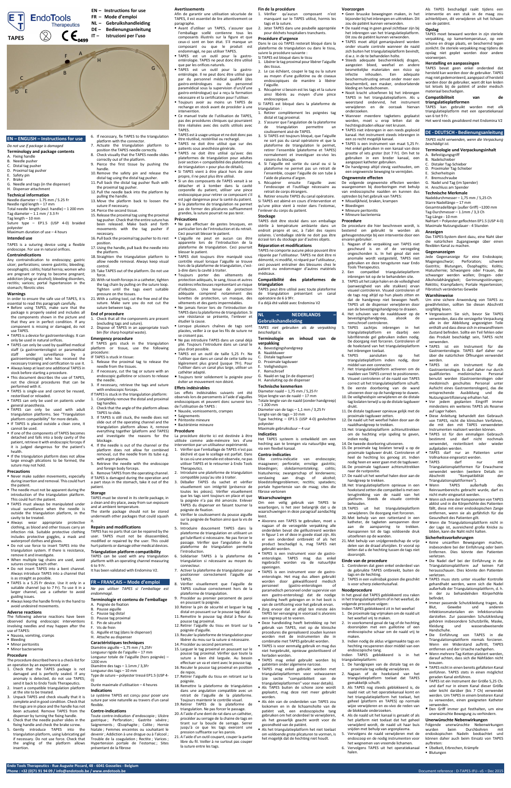**Endo Tools Therapeutics - Rue Auguste Piccard, 48 - 6041 Gosselies - Belgium**

**Phone : +32 (0)71 91 94 09 / info@endotools.be / www.endotools.be** Document reference : D-TAPES-IFU--v5 – Dec 2015

## **EN – ENGLISH – Instructions for use**

#### *Do not use if package is damaged*

- **Terminology and package contents**
- A. Fixing handle
- B. Needle pusher
- C. Distal tag pusher D. Proximal tag pusher
- E. Safety pin
- F. Brake
- G. Needle and tags (in the dispenser)
- H. Dispenser attachment

## **Technical information**

Needle diameter – 1.75 mm / 5.25 Fr Needle rigid length – 17 mm Total needle length (excl. handle) – 1 200 mm Tag diameter  $-1.1$  mm / 3.3 Fr Tag length – 10 mm

Suture type – EP1.5 (USP 4-0) braided polyester Maximum duration of use – 4 hours

# **Intended use**

TAPES is a suturing device using a flexible endoscope. For use in natural orifices.

#### **Contraindications**

Any contraindication to endoscopy; gastric ulcer; perforations; severe gastritis; bleeding; oesophagitis; colitis; hiatal hernia; women who are pregnant or trying to become pregnant; addiction (drug or alcohol); bleeding disorders, rectitis; varices; portal hypertension in the stomach; fibrotic sites

#### **Warnings**

- In order to ensure the safe use of TAPES, it is essential to read this paragraph carefully. Before using TAPES, make sure that the package is properly sealed and includes all the components shown in the picture and that they are in perfect condition. If any component is missing or damaged, do not use TAPES.
- TAPES is a device for gastroenterology. It can only be used in natural orifices.
- **TAPES can only be used by qualified medical** staff (a gastroenterologist or paramedical staff under surveillance by gastroenterologist) who has received the necessary training and certification to use it. Always keep at least one additional TAPES in
- stock before starting a procedure. This document describes the use of TAPES, not the clinical procedures that can be
- performed with it. TAPES is single-use and cannot be reused, resterilised or reloaded.
- TAPES can only be used on patients under general anaesthesia.
- **TAPES** can only be used with adult triangulation platforms. See "Triangulation platform compatibility" for more details.
- **If TAPES** is placed outside a clean zone, it cannot be used. **If one of the components of TAPES becomes** detached and falls into a body cavity of the patient, retrieve it with endoscopic forceps if it is judged dangerous for the patient's health.
- If the triangulation platform does not allow large enough plications to be formed, the

suture may not hold.

## **Precautions**

- Never make sudden movements, especially during insertion and removal. This could hurt the patient.
- The needle must not be apparent during the introduction of the triangulation platform. This could hurt the patient.
- **TAPES** must always be manipulated under visual surveillance when the needle is outside the triangulation platform, in the cavity to be treated.
- Always wear appropriate protective clothing, as blood and other tissues carry an infection risk. Suitable protective clothing includes protective goggles, a mask and waterproof clothes and gloves.
- Do not use force to insert TAPES into the triangulation system. If there is resistance, remove it and investigate.
- When multiple tag chains are used, avoid sutures crossing each other.
- Do not insert TAPES into a bent channel. Always introduce TAPES into a channel that is as straight as possible.
- TAPES is a 5.25 Fr device. Use it only in a suitable channel (up to 7 Fr). To use it in a larger channel, use a catheter to avoid guiding issues.
- Always keep the handle firmly in the hand to avoid undesired movements.

## **Adverse reactions**

The following adverse reactions have been observed during endoscopic interventions involving needles and may happen after the use of TAPES:

- Nausea, vomiting, cramps
- **Bleeding**
- **Minor peritonitis**
- Minor bacteraemia

## **Procedure**

The procedure described here is a check-list for an operation by an experienced user.

- 1. Check that the TAPES package is not damaged and is perfectly sealed. If any anomaly is detected, do not use TAPES; send it back to Endo Tools Therapeutics.
- 2. Insert a compatible triangulation platform at the site to be treated.
- 3. Unpack TAPES and check visually that it is complete and in good condition. Check that the tags are in place and the handle has not been actuated. Remove TAPES from the dispenser by turning the fixing handle.
- 4. Check that the needle pusher slides in the fixing handle and check the brake screw. 5. Gently introduce TAPES into the
- triangulation platform, using lubricating gel if necessary. Do not use force. Check that the angling of the platform allows insertion.
- 6. If necessary, fix TAPES to the triangulation platform with the connector.
- 7. Actuate the triangulation platform to position the TAPES needle correctly.
- 8. Check visually that the TAPES needle slides correctly out of the platform.
- 9. Pierce the first tissue by pushing the handle. 10. Remove the safety pin and release the
- distal tag using the distal tag pusher. 11. Pull back the distal tag pusher flush with
- the proximal tag pusher. 12. Pull the needle back into the platform by
- pulling the handle. 13. Move the platform back to loosen the
- suture if necessary. 14. Pierce the second tissue.
- 15. Release the proximal tag using the proximal tag pusher. Check that the entire suture has
	- been released. Make back and forth movements with the tag pusher if necessary.
- 16. Pull back the proximal tag pusher to its rest position. 17.Using the handle, pull back the needle into
- the platform.
- 18. Straighten the triangulation platform to allow needle removal. Always keep visual control.
- 19. Take TAPES out of the platform. Do not use force.
- 20. With rat tooth forceps in a catheter, tighten the tag chain by pulling on the suture loop. Tighten until the tags exert suitable pressure on the tissues.
- 21. With a cutting tool, cut the free end of the suture. Make sure you do not cut the suture between tags.
- Avant d'utiliser un TAPES, s'assurer que l'emballage scellé contienne tous les composants illustrés sur la figure et que ceux-ci sont en bon état. S'il manque un composant ou que le produit est endommagé, ne pas utiliser TAPES.
- TAPES est un outil pour la gastroentérologie. TAPES ne peut donc être utilisé que par les orifices naturels.
- TAPES est un outil pour la gastroentérologie. Il ne peut donc être utilisé que par du personnel médical qualifié (des gastro-entérologues ou du personnel paramédical sous la supervision d'un/d'une gastro-entérologue) qui a reçu la formation nécessaire et la certification pour l'utiliser.
- Toujours avoir au moins un TAPES de rechange en stock avant de procéder à une intervention.
- Ce manuel traite de l'utilisation de TAPES, pas des procédures cliniques qui pourraient être réalisées avec des outils utilisés avec **TAPES**
- TAPES est à usage unique et ne doit donc pas être réutilisé, restérilisé ou rechargé.
- TAPES ne doit être utilisé que sur des patients sous anesthésie générale.
- TAPES ne doit être utilisé qu'avec des plateformes de triangulation pour adultes (voir section « compatibilité des plateformes de triangulation » pour plus de détails).
- Si TAPES vient à être placé hors de zone propre, il ne peut plus être utilisé.
- Si un des composants de TAPES venait à se détacher et à tomber dans la cavité corporelle du patient, utiliser une pince endoscopique pour retirer ce composant s'il est jugé dangereux pour la santé du patient. Si la plateforme de triangulation ne permet pas de former des plicatures suffisamment grandes, la suture pourrait ne pas tenir.

#### **End of procedure**

- 1. Check that all the components are present (excluding tags and suture).
- 2. Dispose of TAPES in an appropriate trash bin (for sharp hospital waste).

## **Emergency procedure**

- If TAPES gets stuck in the triangulation platform or tissue, use the following procedure:
- IF TAPES is stuck in tissue: . Release the proximal tag to release the
- needle from the tissues.
- 2. If necessary, cut the tag or suture with an endoscopic guillotine or scissors to release the needle.
- 3. If necessary, retrieve the tags and suture with endoscopic forceps.
- If TAPES is stuck in the triangulation platform: 1. Completely remove the distal and proximal tag handles.
- 2. Check that the angle of the platform allows TAPES to slide.
- 3. If TAPES is still stuck, the needle does not slide out of the operating channel and the triangulation platform allows it, remove everything together (platform and TAPES) and investigate the reasons for the blockage.
- 4. If the needle is out of the channel or the platform does not allow for combined removal, cut the needle from its tube e.g.
- with argon plasma 5. Retrieve the needle with the endoscope and foreign body forceps.

6. Remove TAPES from the operating channel. If TAPES is damaged during the operation and a part stays in the stomach, take it out of the patient.

## **Storage**

TAPES must be stored in its sterile package, in a clean and dry place, away from sun exposure and at ambient temperature.

The sterile package should not be stored underneath other packages that could squash it.

## **Repairs and modifications**

TAPES has no parts that can be repaired by the user. TAPES must not be disassembled, modified or repaired by the user. This could hurt patients or damage other medical devices.

## **Triangulation platform compatibility**

TAPES can be used with any triangulation platform with an operating channel measuring 6 to 9 Fr.

Récupérer si besoin est les tags et la suture ainsi libérés au moyen d'une pince

It has been validated with Endomina V2.

## **FR – FRANÇAIS – Mode d'emploi**

*Ne pas utiliser TAPES si l'emballage est endommagé.*

| Terminologie et contenu de l'emballage |  |
|----------------------------------------|--|
|----------------------------------------|--|

A. Poignée de fixation B. Pousse aiguille C. Pousse tag distal D. Pousse tag proximal E. Pin de sécurité F. Vis de frein G. Aiguille et tag (dans le dispenser) H. Attache au dispenser

Si l'aiguille est sortie du canal ou si la plateforme ne permet pas un retrait de l'ensemble, couper l'aiguille de son tube à

## **Caractéristiques techniques**

Diamètre aiguille – 1,75 mm / 5,25Fr Longueur rigide de l'aiguille – 17 mm Longueur totale de l'aiguille (hors poignée) – 1200 mm Diamètre des tags – 1.1mm / 3,3Fr Longueur des tags – 10 mm Type de suture – polyester tressé EP1.5 (USP 4- 0)

Durée maximale d'utilisation – 4 heures

## **Indications**

Le système TAPES est conçu pour poser une suture par voie naturelle au travers d'un canal flexible.

## **Contre-indications**

A. Bevestigingshandgreep Naaldduwer Distale tagduwer D. Proximale tagduwer E. Veiligheidspin Remschroef

Toute contre-indication d'endoscopie ; Ulcère gastrique ; Perforation ; Gastrite sévère ; Saignements ; Œsophagite ; Colite ; Hernie hiatale ; Femmes enceintes ou souhaitant le devenir ; Addiction à une drogue ou à l'alcool ; Trouble de la coagulation ; Rectite ; Varices ; Hypertension portale de l'estomac ; Sites présentant de la fibrose

## **Avertissements**

Afin de garantir une utilisation sécurisée de TAPES, il est essentiel de lire attentivement ce paragraphe.

Geen bruuske bewegingen maken, in het bijzonder bij het inbrengen en uittrekken. Dit zou de patiënt kunnen verwonden. De naald mag in geen geval zichtbaar zijn bij het inbrengen van het triangulatieplatform. Dit zou de patiënt kunnen verwonden. TAPES moet altijd gemanipuleerd worden onder visuele controle wanneer de naald zich buiten het triangulatieplatform bevindt,

## **Précautions**

**Bloedingen**  Mineure peritonitis Mineure bacteriemia

- Ne pas effectuer de gestes brusques, en particulier lors de l'introduction et du retrait. Ceci pourrait blesser le patient.
- L'aiguille ne peut en aucun cas être apparente lors de l'introduction de la plateforme de triangulation. Ceci pourrait blesser le patient.
- TAPES doit toujours être manipulé sous contrôle visuel lorsque l'aiguille se trouve hors de la plateforme de triangulation, c'està-dire dans la cavité à traiter.
- Toujours porter des vêtements de protection adéquats, le sang, tissus et autres matières infectieuses représentant un risque d'infection. Une tenue de protection adéquate comprend notamment des lunettes de protection, un masque, des vêtements et des gants imperméables.
- Ne jamais forcer lors de l'introduction de TAPES dans la plateforme de triangulation. Si une résistance se présente, l'enlever et étudier la cause.
- Lorsque plusieurs chaînes de tags sont placées, veiller à ce que les fils de suture ne se croisent pas.
- Ne pas introduire TAPES dans un canal déjà plié. Toujours l'introduire dans un canal le plus droit possible.
- TAPES est un outil de taille 5,25 Fr. Ne l'utiliser que dans un canal de cette taille ou légèrement plus grand (jusque 7Fr). Pour
- l'utiliser dans un canal plus large, utiliser un cathéter adapté.
- Toujours tenir solidement la poignée pour éviter un mouvement non désiré.

#### **Effets indésirables**

- Les effets indésirables suivants ont été observés lors de percements à l'aide d'aiguilles endoscopiques et peuvent donc survenir lors de l'utilisation de TAPES :
- Nausée, vomissements, crampes
- Saignements Péritonite mineure
- Bactériémie mineure
- **Procédure**
- La procédure décrite ici est destinée à être utilisée comme aide-mémoire lors d'une intervention par un utilisateur expérimenté.
- 1. Vérifier que l'emballage de TAPES n'est pas déchiré et que le scellage est parfait. Dans
	- le cas où une anomalie est observée, ne pas

utiliser TAPES et le retourner à Endo Tools Therapeutics.

**Befestigungsgriff** B. Nadelschieber Distaler Tag-Schieber D. Proximaler Tag-Schieber E. Sicherheitspin **Bremsschraube** G. Nadel und Tag (im Spender) H. Anschluss am Spender **Technische Merkmale**

- 2. Introduire une plateforme de triangulation compatible jusqu'au site à traiter.
- 3. Déballer TAPES du sachet et vérifier visuellement son intégrité (présence de toutes les pièces). Vérifier visuellement que les tags sont toujours en place et que la poignée n'a pas été amorcée. Enlever TAPES du dispenser en faisant tourner la poignée de fixation.
- 4. Vérifier le coulissement du pousse aiguille sur la poignée de fixation ainsi que la vis de frein.
- 5. Introduire doucement TAPES dans la plateforme de triangulation en utilisant un gel lubrifiant si nécessaire. Ne pas forcer le passage. Vérifier que l'angulation de la plateforme de triangulation permette l'introduction.
- 6. Solidariser TAPES à la plateforme de triangulation si nécessaire au moyen du connecteur.
- 7. Activer la plateforme de triangulation pour positionner correctement l'aiguille de TAPES.
- 8. Vérifier visuellement que l'aiguille de TAPES coulisse correctement hors de la plateforme de triangulation.
- 9. Procéder au premier percement de paroi en poussant la poignée.
- 10. Retirer la pin de sécurité et larguer le tag distal en poussant sur le pousse tag distal. 11. Remettre le pousse tag distal à fleur du
- pousse tag proximal. 12. Retirer l'aiguille du tissu en tirant sur la poignée d'aiguille.
- 13. Reculer la plateforme de triangulation pour libérer du mou sur la suture si nécessaire.
- 14. Procéder au second percement.
- 15. Larguer le tag proximal en poussant sur le pousse tag proximal. Vérifier que toute la suture a bien été larguée. Au besoin effectuer un va et vient avec le pousse tag. 16. Reculer le pousse tag proximal en position de repos.
- 17. Retirer l'aiguille du tissu en retirant sur la poignée.
- 18. Remettre la plateforme de triangulation dans une angulation compatible avec un retrait de l'aiguille de la plateforme. Toujours maintenir le contrôle visuel.
- 19. Retirer TAPES de la plateforme de triangulation. Ne pas forcer le passage.
- 20. A l'aide d'une dent de rat dans un cathéter, procéder au serrage de la chaine de tags en tirant sur la boucle de serrage. Serrer jusqu'à ce que les tags exercent une pression suffisante sur les parois.
- 21. A l'aide d'un outil coupant, couper la partie libre du fil. Veiller à ne surtout pas couper la suture entre les tags.

## **Fin de la procédure**

- 1. Vérifier qu'aucun composant n'est manquant sur le TAPES utilisé, hormis les tags et la suture.
- 2. Jeter TAPES dans une poubelle appropriée

#### pour déchets hospitaliers tranchants. **Procédure d'urgence**

## Dans le cas où TAPES resterait bloqué dans la

plateforme de triangulation ou dans le tissu,

- suivre la procédure suivante : Si TAPES est bloqué dans le tissu
	- 1. Libérer le tag proximal pour libérer l'aiguille
	- des tissus. 2. Le cas échéant, couper le tag ou la suture au moyen d'une guillotine ou de ciseaux endoscopiques de manière à libérer

l'aiguille.

endoscopique.

Si TAPES est bloqué dans la plateforme de

triangulation :

1. Retirer complètement les poignées tag

distal et tag proximal.

2. S'assurer que l'angulation de la plateforme de triangulation permettre un

coulissement aisé de TAPES.

3. Si TAPES est toujours bloqué, que l'aiguille ne sort pas du canal opératoire et que la plateforme de triangulation le permet, retirer l'ensemble (plateforme et TAPES) normalement et investiguer ex-vivo les

raisons du blocage.

l'aide de plasma d'argon.

5. Récupérer ensuite l'aiguille avec l'endoscope et l'outillage nécessaire au

retrait de corps étrangers.

6. Retirer ensuite TAPES du canal opératoire. Si TAPES est abimé en cours d'intervention et qu'une pièce vient à rester dans l'estomac,

l'enlever du corps du patient.

**Stockage**

TAPES doit être stocké dans son emballage stérile à température ambiante dans un endroit propre et sec, à l'abri des rayons solaires. L'emballage stérile ne doit pas être écrasé lors du stockage par d'autres objets. **Réparation et modifications**

TAPES ne comporte aucune pièce pouvant être réparée par l'utilisateur. TAPES ne doit être ni démonté, ni modifié, ni réparé par l'utilisateur, ceci pouvant entraîner des blessures chez le patient ou endommager d'autres matériels

médicaux.

**Compatibilité des plateformes de** 

**triangulation**

TAPES peut être utilisé avec toute plateforme de triangulation présentant un canal

opératoire de 6 à 9Fr.

Il a déjà été validé avec Endomina V2

**NL – NEDERLANDS –**

**Gebruikshandleiding**

*TAPES niet gebruiken als de verpakking* 

*beschadigd is.*

**Terminologie en inhoud van de** 

**verpakking**

G. Naald en tag (in de dispenser) H. Aansluiting op de dispenser **Technische kenmerken** Diameter naald – 1,75 mm / 5,25 Fr Stijve lengte van de naald – 17 mm

Totale lengte van de naald (zonder handgreep)

– 1 200 mm

Diameter van de tags – 1,1 mm / 3,25 Fr

Lengte van de tags – 10 mm

Type hechting – EP1.5 (USP 4-0) gevlochten

polyester

Maximale gebruiksduur – 4 uur

**Indicaties**

Het TAPES systeem is ontwikkeld om een hechting aan te brengen via natuurlijke weg,

via een flexibel kanaal. **Contra-indicaties**

Elke contra-indicatie van endoscopie;

maagzweer; perforatie; ernstige gastritis; bloedingen; slokdarmontsteking; colitis; hiatushernia; zwangerschap of kinderwens; verslaving aan drugs of alcohol; bloedstollingproblemen; rectitis; spataders; portale hypertensie van de maag; sites die fibrose vertonen

## **Waarschuwingen**

Om een veilig gebruik van TAPES te waarborgen, is het zeer belangrijk dat u de waarschuwingen in deze paragraaf aandachtig leest.

- Alvorens een TAPES te gebruiken, moet u nagaan of de verzegelde verpakking alle onderdelen bevat die geïllustreerd worden in figuur 1 en of deze in goede staat zijn. Als er een onderdeel ontbreekt of als het product beschadigd is, mag TAPES niet gebruikt worden.
- TAPES is een instrument voor de gastroenterologie. TAPES mag dus enkel ingebracht worden via de natuurlijke openingen.
- TAPES is een instrument voor de gastroenterologie. Het mag dus alleen gebruikt worden door gekwalificeerd medisch<br>personeel (gastro-enterologen of (gastro-enterologen of paramedisch personeel onder supervisie van een gastro-enteroloog) dat de nodige opleiding heeft gekregen en in het bezit is van de certificering voor het gebruik ervan. Zorg ervoor dat er altijd ten minste één
- TAPES ter vervanging in voorraad is alvorens een ingreep uit te voeren.
- Deze handleiding heeft betrekking op het gebruik van TAPES, niet op de klinische procedures die gerealiseerd zouden kunnen worden met de instrumenten die in combinatie met TAPES gebruikt worden.
- TAPES is voor eenmalig gebruik en mag dus niet hergebruikt, opnieuw gesteriliseerd of herladen worden.
- TAPES mag enkel gebruikt worden bij patiënten onder algemene narcose.
- TAPES mag enkel gebruikt worden met triangulatieplatformen voor volwassenen (zie sectie "compatibiliteit van de triangulatieplatformen" voor meer details).
- Als TAPES buiten de schone zone wordt geplaatst, mag deze niet meer gebruikt worden.
- Als één van de onderdelen van TAPES zou loskomen en in de lichaamsholte van de patiënt valt, een endoscopische tang gebruiken om het onderdeel te verwijderen, als het gevaarlijk geacht wordt voor de gezondheid van de patiënt.
- Als het triangulatieplatform het niet toelaat om voldoende grote plicaturen te vormen, is het mogelijk dat de hechting niet houdt.

**Voorzorgen**

d.w.z. in de te behandelen holte. Steeds adequate beschermkledij dragen, aangezien bloed, weefsel en andere besmettelijke materialen een risico op infectie inhouden. Een adequate beschermuitrusting omvat onder meer een beschermbril, een masker, ondoorlatende

kleding en handschoenen.

 Nooit kracht uitoefenen bij het inbrengen TAPES in het triangulatieplatform. Als u weerstand ondervind, het instrument verwijderen en de oorzaak hiervan

onderzoeken.

 Wanneer meerdere tagketens geplaatst worden, moet u erop letten dat de hechtingsdraden elkaar niet kruisen. TAPES niet inbrengen in een reeds geplooid kanaal. Het instrument steeds inbrengen in

een zo recht mogelijk kanaal.

 TAPES is een instrument van maat 5,25 Fr. Het enkel gebruiken in een kanaal van deze grootte of iets groter (tot 7 Fr). Om het te gebruiken in een breder kanaal, een

aangepast katheter gebruiken.

 De handgreep altijd stevig vasthouden, om een ongewenste beweging te vermijden.

**Ongewenste effecten**

De volgende ongewenste effecten werden waargenomen bij doorboringen met behulp van endoscopische naalden en kunnen dus

optreden bij het gebruik van TAPES: Misselijkheid, braken, krampen

**Procedure**

De procedure die hier beschreven wordt, is bestemd om gebruikt te worden als geheugensteuntje bij een interventie door een

ervaren gebruiker.

1. Nagaan of de verpakking van TAPES niet gescheurd is en of de verzegeling ongeschonden is. In het geval dat een anomalie wordt vastgesteld, TAPES niet gebruiken en deze terugsturen naar Endo

Tools Therapeutics.

2. Een compatibel triangulatieplatform inbrengen tot op de te behandelen site. 3. TAPES uit het zakje halen en de volledigheid (aanwezigheid van alle stukken) ervan visueel controleren. Visueel controleren of de tags nog altijd op hun plaats zitten en dat de handgreep niet bewogen heeft. TAPES uit de dispenser verwijderen door aan de bevestigingshandgreep te draaien. 4. Het schuiven van de naaldduwer op de bevestigingshandgreep, alsook de

remschroef controleren.

5. TAPES zachtjes inbrengen in het triangulatieplatform en daarbij een lubrifiërende gel gebruiken indien nodig. De doorgang niet forceren. Controleren of de hoekstand van het triangulatieplatform

het inbrengen toelaat.

6. TAPES aansluiten op het triangulatieplatform indien nodig, door

middel van een connector.

7. Het triangulatieplatform activeren om de naalden van TAPES correct te positioneren. 8. Visueel controleren of de naald van TAPES correct uit het triangulatieplatform schuift. 9. De eerste doorboring van de wand uitvoeren door op de handgreep te duwen. 10.De veiligheidspin verwijderen en de distale tag loslaten terwijl u op de distale tagduwer

drukt.

11.De distale tagduwer opnieuw gelijk met de

proximale tagduwer zetten.

12.De naald uit het weefsel halen door aan de

naaldhandgreep te trekken.

13.Het triangulatieplatform achteruittrekken om de hechting vrije speling te geven,

indien nodig.

14.De tweede doorboring uitvoeren. 15.De proximale tag loslaten terwijl u op de proximale tagduwer drukt. Controleren of heel de hechting los genoeg zit. Indien

- nodig heen en weer gaan met de tagduwer. 16.De proximale tagduwer achteruittrekken naar de rustpositie.
- 17.De naald uit het weefsel halen door aan de handgreep te trekken.
- 18.Het triangulatieplatform opnieuw in een hoekstand zetten die compatibel is met een terugtrekking van de naald van het platform. Steeds de visuele controle behouden.
- 19. TAPES uit het triangulatieplatform verwijderen. De doorgang niet forceren.
- 20. Met behulp van een rattentand in een katheter, de tagketen aanspannen door aan de aanspanring te trekken. Aanspannen tot de tags voldoende druk uitoefenen op de wanden.
- 21. Met behulp van snijdgereedschap de vrije delen van de draad afsnijden. Er vooral op letten dat u de hechting tussen de tags niet doorsnijdt.

## **Einde van de procedure**

- 1. Controleren dat geen enkel onderdeel van de gebruikte TAPES ontbreekt, buiten de tags en de hechting.
- 2. TAPES in een vuilnisbak gooien die geschikt is voor scherp ziekenhuisafval.

## **Noodprocedure**

- In het geval dat TAPES geblokkeerd zou raken in het triangulatieplatform of in het weefsel, de volgende procedure volgen:
- Indien TAPES geblokkeerd zit in het weefsel 1. De proximale tag vrijmaken om de naald uit
- het weefsel vrij te maken.
- 2. In voorkomend geval de tag of de hechting doorsnijden met een guillotine of een endoscopische schaar om de naald vrij te maken.
- 3. Indien nodig de aldus vrijgemaakte tags en hechting recupereren door middel van een endoscopische tang.
- Indien TAPES geblokkeerd is in het triangulatieplatform:
- 1. De handgrepen van de distale tag en de proximale tag volledig verwijderen.
- 2. Nagaan of de hoekstand van het triangulatieplatform toelaat dat TAPES gemakkelijk schuift.
- 3. Als TAPES nog steeds geblokkeerd is, de naald niet uit het operatiekanaal komt en het triangulatieplatform het toelaat, het geheel (platform en TAPES) op normale wijze verwijderen en ex-vivo de reden van de blokkade onderzoeken.
- 4. Als de naald uit het kanaal is geraakt of als het platform niet toelaat dat het geheel verwijderd wordt, de naald uit haar buis snijden met behulp van argonplasma.
- 5. Vervolgens de naald verwijderen met de endoscoop en de nodig instrumenten voor het wegnemen van vreemde lichamen.
- 6. Vervolgens TAPES uit het operatiekanaal halen.

Als TAPES beschadigd raakt tijdens een interventie en een stuk in de maag zou achterblijven, dit verwijderen uit het lichaam

van de patiënt. **Opslag**

TAPES moet bewaard worden in zijn steriele verpakking, op kamertemperatuur, op een schone en droge plaats, en beschermd tegen zonlicht. De steriele verpakking mag tijdens de opslag niet geplet worden door andere

voorwerpen.

**Herstelling en aanpassingen**

TAPES bevat geen enkel onderdeel dat hersteld kan worden door de gebruiker. TAPES mag niet gedemonteerd, aangepast of hersteld worden door de gebruiker, want dit kan leiden tot letsels bij de patiënt of ander medisch

materiaal beschadigen.

**Compatibiliteit van de** 

**triangulatieplatformen**

TAPES kan gebruikt worden met elk triangulatieplatform met een operatiekanaal

van 6 tot 9 Fr.

Het werd reeds gevalideerd met Endomina V2

**DE - DEUTSCH - Bedienungsanleitung** *TAPES nicht verwenden, wenn die Verpackung* 

*beschädigt ist.*

**Terminologie und Verpackungsinhalt**

Nadeldurchmesser – 1,75 mm / 5,25 Ch

Starre Nadellänge – 17 mm

Gesamtnadellänge (außer Griff) –1200 mm Tag-Durchmesser – 1.1mm / 3,3 Ch

Tag-Länge - 10 mm

Nahtart – Polyester geflochten EP1.5 (USP 4-0) Maximale Nutzungsdauer - 4 Stunden

**Anzeigen**

Das TAPES-System dient dazu, eine Naht über die natürlichen Zugangswege über einen

flexiblen Kanal zu machen. **Gegenanzeigen**

Jede Gegenanzeige für eine Endoskopie; Magengeschwür; Perforation; schwere Gastritis; Blutungen, Ösophagitis; Kolitis; Hiatushernie; Schwangere oder Frauen, die schwanger werden wollen; Drogen- oder Alkoholabhängigkeit; Gerinnungsstörungen; Rektitis; Krampfadern; Portale Hypertension;

Fibrotisch verändertes Gewebe

**Warnhinweise**

Um eine sichere Anwendung von TAPES zu gewährleisten, sollten Sie diesen Abschnitt

sorgfältig lesen.

 Vergewissern Sie sich, bevor Sie TAPES verwenden, dass die versiegelte Verpackung alle in der Abbildung angezeigten Teile enthält und dass diese sich in einwandfreiem Zustand befinden. Sollte ein Teil fehlen oder das Produkt beschädigt sein, TAPES nicht

verwenden.

 TAPES ist ein Instrument für die Gastroenterologie. TAPES darf daher nur über die natürlichen Öffnungen verwendet

werden.

 TAPES ist ein Instrument für die Gastroenterologie. Es darf daher nur durch qualifiziertes medizinisches Personal benutzt werden (Gastroenterologen oder medizinisch geschultes Personal unter Aufsicht eines Gastroenterologen), das die entsprechende Ausbildung und die Nutzungszertifizierung erhalten hat. Vor jedem geplanten Eingriff immer mindestens ein weiteres TAPES als Reserve

auf Lager haben.

 Diese Anleitung behandelt den Gebrauch von TAPES, nicht die klinischen Verfahren, die mit den mit TAPES verwendeten Instrumenten realisiert werden können. TAPES ist für den einmaligen Gebrauch bestimmt und darf nicht nochmals verwendet, resterilisiert oder wieder

aufgeladen werden.

TAPES darf nur an Patienten unter

Vollnarkose eingesetzt werden.

 TAPES darf nur mit Triangulationsplattformen für Erwachsene verwendet werden (weitere Details im Abschnitt "Kompatibilität der

Triangulationsplattformen").

 Wenn TAPES außerhalb des Reinraumbereichs gebracht wurde, darf es

nicht mehr eingesetzt werden.

 Wenn sich eine der Komponenten von TAPES ablöst und in die Körperhöhle des Patienten fällt, diese mit einer endoskopischen Zange entfernen, wenn sie als gefährlich für die

Gesundheit des Patienten gilt.

 Wenn die Triangulationsplattform nicht in der Lage ist, ausreichend große Knicke zu bilden, kann die Naht nicht halten. **Sicherheitsvorkehrungen**

 Keine unsanften Bewegungen machen, insbesondere bei der Einführung oder beim Entfernen. Dies könnte den Patienten

verletzen.

 Die Nadel darf bei der Einführung in die Triangulationsplattform auf keinen Fall herausschauen. Dies könnte den Patienten

verletzen.

 TAPES muss stets unter visueller Kontrolle gehandhabt werden, wenn sich die Nadel außerhalb der Triangulationsplattform, d. h. in der zu behandelnden Körperhöhle

befindet.

 Immer passende Schutzkleidung tragen, da Blut, Gewebe und anderen Infektionsmaterialien ein Infektionsrisiko darstellen. Zur passenden Schutzkleidung gehören insbesondere Schutzbrille, Maske, Kleidung und wasserabweisende

Handschuhe.

 Die Einführung von TAPES in die Triangulationsplattform niemals forcieren. Wenn ein Widerstand auftritt, TAPES entfernen und der Ursache nachgehen. Wenn mehrere Tag-Ketten platziert werden, darauf achten, dass sich die Nähfäden nicht

kreuzen.

 TAPES nicht in einen bereits gefalteten Kanal einführen. TAPES stets in einen möglichst

geraden Kanal einführen.

 TAPES ist ein Instrument der Größe 5,25 Ch. und darf nur in einem Kanal dieser Größe oder leicht darüber (bis 7 Ch) verwendet werden. Um TAPES in einem breiteren Kanal zu verwenden, einen geeigneten Katheter

verwenden.

 Den Griff immer gut festhalten, um eine unerwünschte Bewegung zu verhindern. **Unerwünschte Nebenwirkungen** Folgende unerwünschte Nebenwirkungen wurden beim Durchbohren endoskopischen Nadeln beobachtet und können daher auch beim Einsatz von TAPES

auftreten:

Übelkeit, Erbrechen, Krämpfe

Blutungen

**EN – Instructions for use FR – Mode d'emploi NL – Gebruikshandleiding**

**DE – Bedienungsanleitung**



A B  $\overline{D}$ C E F G H